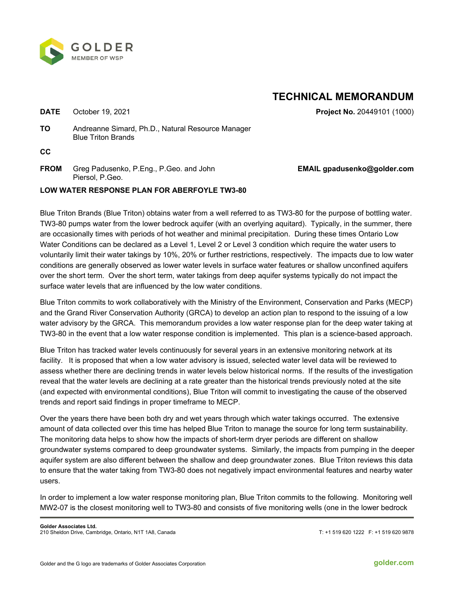

## **TECHNICAL MEMORANDUM**

**DATE** October 19, 2021 **Project No.** 20449101 (1000)

**TO** Andreanne Simard, Ph.D., Natural Resource Manager Blue Triton Brands

**CC** 

**FROM** Greg Padusenko, P.Eng., P.Geo. and John Piersol, P.Geo.

## **EMAIL gpadusenko@golder.com**

## **LOW WATER RESPONSE PLAN FOR ABERFOYLE TW3-80**

Blue Triton Brands (Blue Triton) obtains water from a well referred to as TW3-80 for the purpose of bottling water. TW3-80 pumps water from the lower bedrock aquifer (with an overlying aquitard). Typically, in the summer, there are occasionally times with periods of hot weather and minimal precipitation. During these times Ontario Low Water Conditions can be declared as a Level 1, Level 2 or Level 3 condition which require the water users to voluntarily limit their water takings by 10%, 20% or further restrictions, respectively. The impacts due to low water conditions are generally observed as lower water levels in surface water features or shallow unconfined aquifers over the short term. Over the short term, water takings from deep aquifer systems typically do not impact the surface water levels that are influenced by the low water conditions.

Blue Triton commits to work collaboratively with the Ministry of the Environment, Conservation and Parks (MECP) and the Grand River Conservation Authority (GRCA) to develop an action plan to respond to the issuing of a low water advisory by the GRCA. This memorandum provides a low water response plan for the deep water taking at TW3-80 in the event that a low water response condition is implemented. This plan is a science-based approach.

Blue Triton has tracked water levels continuously for several years in an extensive monitoring network at its facility. It is proposed that when a low water advisory is issued, selected water level data will be reviewed to assess whether there are declining trends in water levels below historical norms. If the results of the investigation reveal that the water levels are declining at a rate greater than the historical trends previously noted at the site (and expected with environmental conditions), Blue Triton will commit to investigating the cause of the observed trends and report said findings in proper timeframe to MECP.

Over the years there have been both dry and wet years through which water takings occurred. The extensive amount of data collected over this time has helped Blue Triton to manage the source for long term sustainability. The monitoring data helps to show how the impacts of short-term dryer periods are different on shallow groundwater systems compared to deep groundwater systems. Similarly, the impacts from pumping in the deeper aquifer system are also different between the shallow and deep groundwater zones. Blue Triton reviews this data to ensure that the water taking from TW3-80 does not negatively impact environmental features and nearby water users.

In order to implement a low water response monitoring plan, Blue Triton commits to the following. Monitoring well MW2-07 is the closest monitoring well to TW3-80 and consists of five monitoring wells (one in the lower bedrock

T: +1 519 620 1222 F: +1 519 620 9878